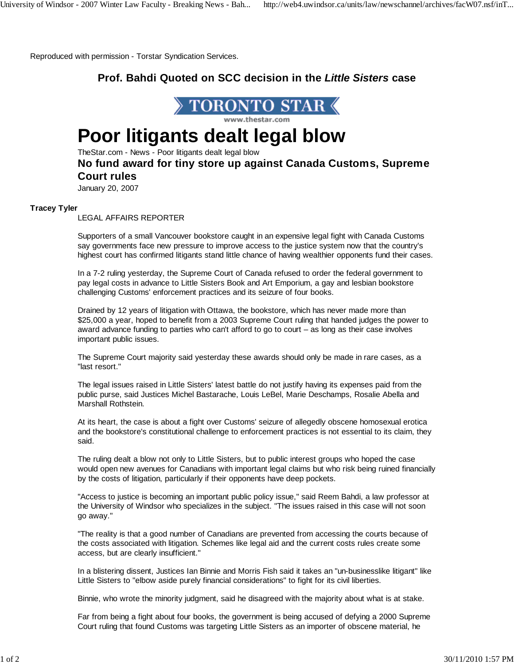Reproduced with permission - Torstar Syndication Services.

## **Prof. Bahdi Quoted on SCC decision in the** *Little Sisters* **case**



# **Poor litigants dealt legal blow**

TheStar.com - News - Poor litigants dealt legal blow

### **No fund award for tiny store up against Canada Customs, Supreme Court rules**

January 20, 2007

### **Tracey Tyler**

LEGAL AFFAIRS REPORTER

Supporters of a small Vancouver bookstore caught in an expensive legal fight with Canada Customs say governments face new pressure to improve access to the justice system now that the country's highest court has confirmed litigants stand little chance of having wealthier opponents fund their cases.

In a 7-2 ruling yesterday, the Supreme Court of Canada refused to order the federal government to pay legal costs in advance to Little Sisters Book and Art Emporium, a gay and lesbian bookstore challenging Customs' enforcement practices and its seizure of four books.

Drained by 12 years of litigation with Ottawa, the bookstore, which has never made more than \$25,000 a year, hoped to benefit from a 2003 Supreme Court ruling that handed judges the power to award advance funding to parties who can't afford to go to court – as long as their case involves important public issues.

The Supreme Court majority said yesterday these awards should only be made in rare cases, as a "last resort."

The legal issues raised in Little Sisters' latest battle do not justify having its expenses paid from the public purse, said Justices Michel Bastarache, Louis LeBel, Marie Deschamps, Rosalie Abella and Marshall Rothstein.

At its heart, the case is about a fight over Customs' seizure of allegedly obscene homosexual erotica and the bookstore's constitutional challenge to enforcement practices is not essential to its claim, they said.

The ruling dealt a blow not only to Little Sisters, but to public interest groups who hoped the case would open new avenues for Canadians with important legal claims but who risk being ruined financially by the costs of litigation, particularly if their opponents have deep pockets.

"Access to justice is becoming an important public policy issue," said Reem Bahdi, a law professor at the University of Windsor who specializes in the subject. "The issues raised in this case will not soon go away."

"The reality is that a good number of Canadians are prevented from accessing the courts because of the costs associated with litigation. Schemes like legal aid and the current costs rules create some access, but are clearly insufficient."

In a blistering dissent, Justices Ian Binnie and Morris Fish said it takes an "un-businesslike litigant" like Little Sisters to "elbow aside purely financial considerations" to fight for its civil liberties.

Binnie, who wrote the minority judgment, said he disagreed with the majority about what is at stake.

Far from being a fight about four books, the government is being accused of defying a 2000 Supreme Court ruling that found Customs was targeting Little Sisters as an importer of obscene material, he